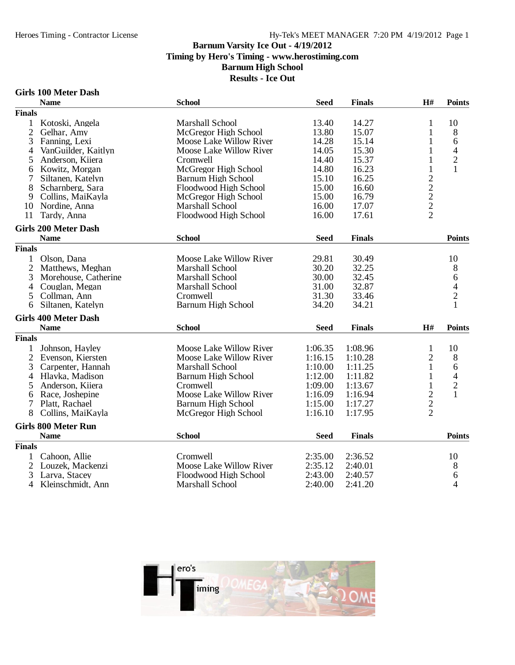**Results - Ice Out**

#### **Girls 100 Meter Dash**

|                | <b>Name</b>                 | <b>School</b>                  | <b>Seed</b> | <b>Finals</b> | H#                                                | <b>Points</b>  |
|----------------|-----------------------------|--------------------------------|-------------|---------------|---------------------------------------------------|----------------|
| <b>Finals</b>  |                             |                                |             |               |                                                   |                |
| 1              | Kotoski, Angela             | Marshall School                | 13.40       | 14.27         | 1                                                 | 10             |
| $\overline{2}$ | Gelhar, Amy                 | McGregor High School           | 13.80       | 15.07         | 1                                                 | 8              |
| 3              | Fanning, Lexi               | Moose Lake Willow River        | 14.28       | 15.14         | 1                                                 | 6              |
| 4              | VanGuilder, Kaitlyn         | <b>Moose Lake Willow River</b> | 14.05       | 15.30         | 1                                                 | $\overline{4}$ |
| 5              | Anderson, Kiiera            | Cromwell                       | 14.40       | 15.37         | 1                                                 | $\overline{c}$ |
| 6              | Kowitz, Morgan              | McGregor High School           | 14.80       | 16.23         | 1                                                 | $\mathbf{1}$   |
|                | Siltanen, Katelyn           | <b>Barnum High School</b>      | 15.10       | 16.25         |                                                   |                |
| 8              | Scharnberg, Sara            | Floodwood High School          | 15.00       | 16.60         | $\begin{array}{c}\n2 \\ 2 \\ 2 \\ 2\n\end{array}$ |                |
| 9              | Collins, MaiKayla           | McGregor High School           | 15.00       | 16.79         |                                                   |                |
| 10             | Nordine, Anna               | <b>Marshall School</b>         | 16.00       | 17.07         |                                                   |                |
| 11             | Tardy, Anna                 | Floodwood High School          | 16.00       | 17.61         |                                                   |                |
|                | <b>Girls 200 Meter Dash</b> |                                |             |               |                                                   |                |
|                | <b>Name</b>                 | <b>School</b>                  | <b>Seed</b> | <b>Finals</b> |                                                   | <b>Points</b>  |
| <b>Finals</b>  |                             |                                |             |               |                                                   |                |
| 1              | Olson, Dana                 | Moose Lake Willow River        | 29.81       | 30.49         |                                                   | 10             |
| $\overline{2}$ | Matthews, Meghan            | Marshall School                | 30.20       | 32.25         |                                                   | 8              |
| 3              | Morehouse, Catherine        | Marshall School                | 30.00       | 32.45         |                                                   | 6              |
| 4              | Couglan, Megan              | Marshall School                | 31.00       | 32.87         |                                                   | $\overline{4}$ |
| 5              | Collman, Ann                | Cromwell                       | 31.30       | 33.46         |                                                   | $\overline{c}$ |
| 6              | Siltanen, Katelyn           | <b>Barnum High School</b>      | 34.20       | 34.21         |                                                   | $\mathbf{1}$   |
|                | <b>Girls 400 Meter Dash</b> |                                |             |               |                                                   |                |
|                | <b>Name</b>                 | <b>School</b>                  | <b>Seed</b> | <b>Finals</b> | H#                                                | <b>Points</b>  |
| <b>Finals</b>  |                             |                                |             |               |                                                   |                |
| 1              | Johnson, Hayley             | Moose Lake Willow River        | 1:06.35     | 1:08.96       | 1                                                 | 10             |
| $\overline{2}$ | Evenson, Kiersten           | Moose Lake Willow River        | 1:16.15     | 1:10.28       | $\overline{2}$                                    | 8              |
| 3              | Carpenter, Hannah           | Marshall School                | 1:10.00     | 1:11.25       | 1                                                 | 6              |
| $\overline{4}$ | Hlavka, Madison             | <b>Barnum High School</b>      | 1:12.00     | 1:11.82       | $\mathbf{1}$                                      | $\overline{4}$ |
| 5              | Anderson, Kiiera            | Cromwell                       | 1:09.00     | 1:13.67       | $\mathbf{1}$                                      | $\overline{c}$ |
| 6              | Race, Joshepine             | Moose Lake Willow River        | 1:16.09     | 1:16.94       |                                                   | $\mathbf{1}$   |
| 7              | Platt, Rachael              | <b>Barnum High School</b>      | 1:15.00     | 1:17.27       |                                                   |                |
| 8              | Collins, MaiKayla           | McGregor High School           | 1:16.10     | 1:17.95       | $\frac{2}{2}$                                     |                |
|                | <b>Girls 800 Meter Run</b>  |                                |             |               |                                                   |                |
|                | <b>Name</b>                 | <b>School</b>                  | <b>Seed</b> | <b>Finals</b> |                                                   | <b>Points</b>  |
| <b>Finals</b>  |                             |                                |             |               |                                                   |                |
| 1              | Cahoon, Allie               | Cromwell                       | 2:35.00     | 2:36.52       |                                                   | 10             |
| $\overline{c}$ | Louzek, Mackenzi            | Moose Lake Willow River        | 2:35.12     | 2:40.01       |                                                   | 8              |
| 3              | Larva, Stacey               | Floodwood High School          | 2:43.00     | 2:40.57       |                                                   | 6              |
| $\overline{4}$ | Kleinschmidt, Ann           | <b>Marshall School</b>         | 2:40.00     | 2:41.20       |                                                   | $\overline{4}$ |
|                |                             |                                |             |               |                                                   |                |

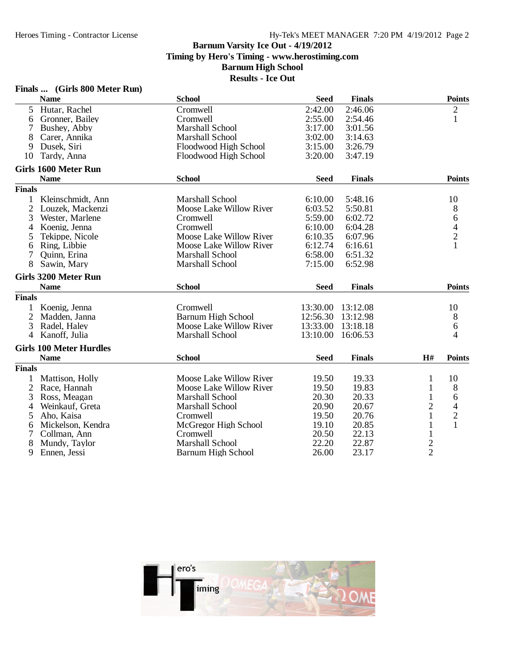| <b>Name</b><br><b>School</b><br><b>Seed</b><br><b>Finals</b>                         | <b>Points</b>                 |
|--------------------------------------------------------------------------------------|-------------------------------|
|                                                                                      |                               |
| Hutar, Rachel<br>2:42.00<br>Cromwell<br>2:46.06<br>5                                 | $\overline{c}$                |
| 2:55.00<br>Gronner, Bailey<br>Cromwell<br>2:54.46<br>6                               | 1                             |
| 3:17.00<br>7<br>Marshall School<br>3:01.56<br>Bushey, Abby                           |                               |
| 8<br><b>Marshall School</b><br>3:02.00<br>3:14.63<br>Carer, Annika                   |                               |
| 3:15.00<br>3:26.79<br>9<br>Dusek, Siri<br>Floodwood High School                      |                               |
| 3:20.00<br>3:47.19<br>10<br>Tardy, Anna<br>Floodwood High School                     |                               |
| <b>Girls 1600 Meter Run</b>                                                          |                               |
| <b>Name</b><br><b>School</b><br><b>Seed</b><br><b>Finals</b>                         | <b>Points</b>                 |
| <b>Finals</b>                                                                        |                               |
| 1 Kleinschmidt, Ann<br>Marshall School<br>6:10.00<br>5:48.16                         | 10                            |
| $\overline{2}$<br>6:03.52<br>Louzek, Mackenzi<br>Moose Lake Willow River<br>5:50.81  | $8\,$                         |
| 3<br>5:59.00<br>6:02.72<br>Wester, Marlene<br>Cromwell                               | $\sqrt{6}$                    |
| 6:10.00<br>Koenig, Jenna<br>Cromwell<br>6:04.28<br>4                                 | 4                             |
| Moose Lake Willow River<br>5<br>6:10.35<br>6:07.96<br>Tekippe, Nicole                | $\overline{c}$                |
| Ring, Libbie<br>Moose Lake Willow River<br>6:12.74<br>6:16.61<br>6                   | 1                             |
| 7<br>Quinn, Erina<br>Marshall School<br>6:58.00<br>6:51.32                           |                               |
| 8<br>7:15.00<br>6:52.98<br>Sawin, Mary<br>Marshall School                            |                               |
| <b>Girls 3200 Meter Run</b>                                                          |                               |
| <b>School</b><br><b>Name</b><br><b>Seed</b><br><b>Finals</b>                         | <b>Points</b>                 |
| <b>Finals</b>                                                                        |                               |
| 1 Koenig, Jenna<br>Cromwell<br>13:30.00<br>13:12.08                                  | 10                            |
| $\overline{2}$<br><b>Barnum High School</b><br>Madden, Janna<br>12:56.30<br>13:12.98 | 8                             |
| 3<br>Moose Lake Willow River<br>13:33.00<br>13:18.18<br>Radel, Haley                 | 6                             |
| Kanoff, Julia<br>13:10.00<br>$\overline{4}$<br>Marshall School<br>16:06.53           | 4                             |
| <b>Girls 100 Meter Hurdles</b>                                                       |                               |
| <b>Name</b><br><b>School</b><br><b>Seed</b><br><b>Finals</b>                         | H#<br><b>Points</b>           |
| <b>Finals</b>                                                                        |                               |
| 1<br><b>Moose Lake Willow River</b><br>19.50<br>19.33<br>Mattison, Holly             | 1<br>10                       |
| 2<br>Race, Hannah<br>Moose Lake Willow River<br>19.50<br>19.83                       | $\,8\,$<br>1                  |
| 3<br>Ross, Meagan<br>Marshall School<br>20.30<br>20.33                               | 6<br>1                        |
| Marshall School<br>20.90<br>20.67<br>4<br>Weinkauf, Greta                            | 2<br>$\overline{\mathcal{A}}$ |
| 5<br>Aho, Kaisa<br>19.50<br>20.76<br>Cromwell                                        | 1                             |
| Mickelson, Kendra<br>McGregor High School<br>19.10<br>20.85<br>6                     | $\frac{2}{1}$<br>1            |
| 20.50<br>22.13<br>7<br>Collman, Ann<br>Cromwell                                      | $\mathbf{1}$                  |
| 8<br>22.20<br>Marshall School<br>22.87<br>Mundy, Taylor                              |                               |
| 9<br>23.17<br>Ennen, Jessi<br>Barnum High School<br>26.00                            | $\frac{2}{2}$                 |

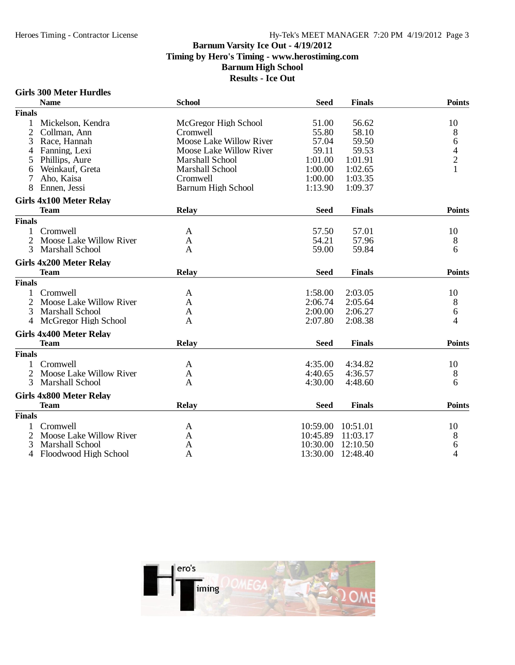# Hy-Tek's MEET MANAGER 7:20 PM 4/19/2012 Page 3

# **Barnum Varsity Ice Out - 4/19/2012 Timing by Hero's Timing - www.herostiming.com Barnum High School**

## **Results - Ice Out**

#### **Girls 300 Meter Hurdles**

|                | <b>Name</b>                    | <b>School</b>             | <b>Seed</b> | <b>Finals</b> | <b>Points</b>                              |
|----------------|--------------------------------|---------------------------|-------------|---------------|--------------------------------------------|
| <b>Finals</b>  |                                |                           |             |               |                                            |
|                | Mickelson, Kendra              | McGregor High School      | 51.00       | 56.62         | 10                                         |
| $\mathfrak{2}$ | Collman, Ann                   | Cromwell                  | 55.80       | 58.10         | 8                                          |
| 3              | Race, Hannah                   | Moose Lake Willow River   | 57.04       | 59.50         | 6                                          |
| 4              | Fanning, Lexi                  | Moose Lake Willow River   | 59.11       | 59.53         |                                            |
| 5              | Phillips, Aure                 | <b>Marshall School</b>    | 1:01.00     | 1:01.91       | $\begin{array}{c} 4 \\ 2 \\ 1 \end{array}$ |
| 6              | Weinkauf, Greta                | Marshall School           | 1:00.00     | 1:02.65       |                                            |
| 7              | Aho, Kaisa                     | Cromwell                  | 1:00.00     | 1:03.35       |                                            |
| 8              | Ennen, Jessi                   | <b>Barnum High School</b> | 1:13.90     | 1:09.37       |                                            |
|                | <b>Girls 4x100 Meter Relay</b> |                           |             |               |                                            |
|                | <b>Team</b>                    | <b>Relay</b>              | <b>Seed</b> | <b>Finals</b> | <b>Points</b>                              |
| <b>Finals</b>  |                                |                           |             |               |                                            |
| 1              | Cromwell                       | A                         | 57.50       | 57.01         | 10                                         |
| 2              | Moose Lake Willow River        | A                         | 54.21       | 57.96         | 8                                          |
| 3              | <b>Marshall School</b>         | A                         | 59.00       | 59.84         | 6                                          |
|                | <b>Girls 4x200 Meter Relay</b> |                           |             |               |                                            |
|                | <b>Team</b>                    | <b>Relay</b>              | <b>Seed</b> | <b>Finals</b> | <b>Points</b>                              |
| <b>Finals</b>  |                                |                           |             |               |                                            |
|                | Cromwell                       | A                         | 1:58.00     | 2:03.05       | 10                                         |
| 2              | Moose Lake Willow River        | A                         | 2:06.74     | 2:05.64       | 8                                          |
| 3              | <b>Marshall School</b>         | A                         | 2:00.00     | 2:06.27       | 6                                          |
| 4              | McGregor High School           | A                         | 2:07.80     | 2:08.38       | 4                                          |
|                | <b>Girls 4x400 Meter Relay</b> |                           |             |               |                                            |
|                | <b>Team</b>                    | <b>Relay</b>              | <b>Seed</b> | <b>Finals</b> | <b>Points</b>                              |
| <b>Finals</b>  |                                |                           |             |               |                                            |
|                | Cromwell                       | A                         | 4:35.00     | 4:34.82       | 10                                         |
|                | Moose Lake Willow River        | A                         | 4:40.65     | 4:36.57       | 8                                          |
| 3              | <b>Marshall School</b>         | A                         | 4:30.00     | 4:48.60       | 6                                          |
|                | Girls 4x800 Meter Relay        |                           |             |               |                                            |
|                | <b>Team</b>                    | Relay                     | <b>Seed</b> | <b>Finals</b> | <b>Points</b>                              |
| <b>Finals</b>  |                                |                           |             |               |                                            |
|                | Cromwell                       | A                         | 10:59.00    | 10:51.01      | 10                                         |
| 2              | Moose Lake Willow River        | A                         | 10:45.89    | 11:03.17      | 8                                          |
| 3              | <b>Marshall School</b>         | A                         | 10:30.00    | 12:10.50      | 6                                          |
| 4              | Floodwood High School          | A                         | 13:30.00    | 12:48.40      | 4                                          |

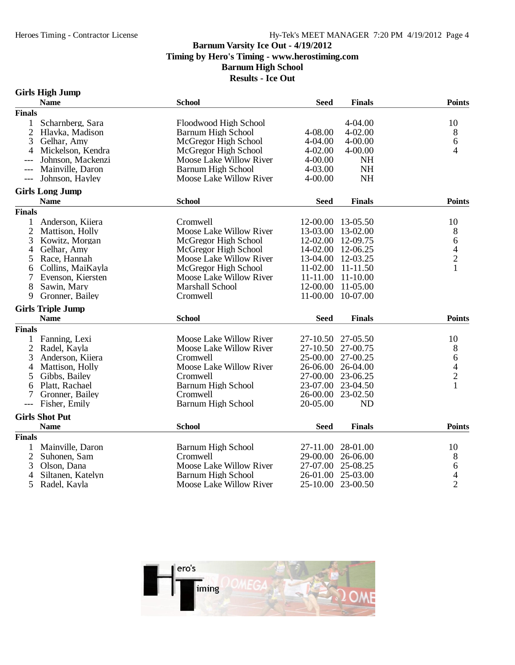# Hy-Tek's MEET MANAGER 7:20 PM 4/19/2012 Page 4

# **Barnum Varsity Ice Out - 4/19/2012 Timing by Hero's Timing - www.herostiming.com Barnum High School**

**Results - Ice Out**

# **Girls High Jump**

| <b>Finals</b><br>Scharnberg, Sara<br>4-04.00<br>10<br>Floodwood High School<br>$\mathbf{1}$<br>$\overline{2}$<br>$4 - 02.00$<br>8<br>Hlavka, Madison<br><b>Barnum High School</b><br>4-08.00<br>3<br>McGregor High School<br>4-04.00<br>4-00.00<br>6<br>Gelhar, Amy<br>$4 - 02.00$<br>$4 - 00.00$<br>4<br>4<br>Mickelson, Kendra<br>McGregor High School<br>Johnson, Mackenzi<br>Moose Lake Willow River<br>4-00.00<br><b>NH</b><br>4-03.00<br><b>NH</b><br>Mainville, Daron<br><b>Barnum High School</b><br>$---$<br>Johnson, Hayley<br><b>NH</b><br>Moose Lake Willow River<br>4-00.00<br>$---$<br><b>Girls Long Jump</b><br><b>Name</b><br><b>School</b><br><b>Finals</b><br><b>Points</b><br><b>Seed</b><br><b>Finals</b><br>10<br>$\mathbf{1}$<br>Anderson, Kiiera<br>Cromwell<br>12-00.00<br>13-05.50<br>$\mathbf{2}$<br>Moose Lake Willow River<br>Mattison, Holly<br>13-03.00<br>13-02.00<br>8<br>$\boldsymbol{6}$<br>12-02.00<br>12-09.75<br>3<br>Kowitz, Morgan<br>McGregor High School<br>$\frac{4}{2}$<br>14-02.00<br>Gelhar, Amy<br>McGregor High School<br>12-06.25<br>4<br>Race, Hannah<br>Moose Lake Willow River<br>13-04.00<br>12-03.25<br>5<br>$\mathbf{1}$<br>Collins, MaiKayla<br>McGregor High School<br>11-02.00<br>$11 - 11.50$<br>6<br>Evenson, Kiersten<br>Moose Lake Willow River<br>11-11.00<br>11-10.00<br>7<br>8<br>Marshall School<br>12-00.00<br>11-05.00<br>Sawin, Mary<br>Gronner, Bailey<br>11-00.00<br>10-07.00<br>9<br>Cromwell<br><b>Girls Triple Jump</b><br><b>Name</b><br><b>School</b><br><b>Seed</b><br><b>Finals</b><br><b>Points</b><br><b>Finals</b><br>Moose Lake Willow River<br>10<br>27-10.50<br>27-05.50<br>1<br>Fanning, Lexi<br>$\mathfrak{2}$<br>27-10.50<br>27-00.75<br>8<br>Radel, Kayla<br>Moose Lake Willow River<br>3<br>25-00.00<br>27-00.25<br>Anderson, Kiiera<br>Cromwell<br>6<br>$\overline{\mathcal{A}}$<br>Moose Lake Willow River<br>26-04.00<br>Mattison, Holly<br>26-06.00<br>4<br>$\overline{c}$<br>Cromwell<br>27-00.00<br>23-06.25<br>Gibbs, Bailey<br>5<br>$\mathbf{1}$<br>Platt, Rachael<br><b>Barnum High School</b><br>23-07.00<br>23-04.50<br>6<br>Cromwell<br>26-00.00<br>23-02.50<br>Gronner, Bailey<br>7<br><b>Barnum High School</b><br>20-05.00<br>Fisher, Emily<br><b>ND</b><br>---<br><b>Girls Shot Put</b><br><b>Points</b><br><b>Name</b><br><b>School</b><br><b>Seed</b><br><b>Finals</b><br><b>Finals</b><br><b>Barnum High School</b><br>1<br>Mainville, Daron<br>27-11.00<br>28-01.00<br>10<br>$\mathbf{2}$<br>Suhonen, Sam<br>Cromwell<br>29-00.00<br>26-06.00<br>8<br>6<br>3<br>Olson, Dana<br>Moose Lake Willow River<br>27-07.00<br>25-08.25<br>$\overline{\mathcal{L}}$<br><b>Barnum High School</b><br>25-03.00<br>4<br>Siltanen, Katelyn<br>26-01.00<br>$\overline{2}$<br>5<br>Radel, Kayla<br>Moose Lake Willow River<br>25-10.00<br>23-00.50 | <b>Name</b> | <b>School</b> | <b>Seed</b> | <b>Finals</b> | <b>Points</b> |
|-------------------------------------------------------------------------------------------------------------------------------------------------------------------------------------------------------------------------------------------------------------------------------------------------------------------------------------------------------------------------------------------------------------------------------------------------------------------------------------------------------------------------------------------------------------------------------------------------------------------------------------------------------------------------------------------------------------------------------------------------------------------------------------------------------------------------------------------------------------------------------------------------------------------------------------------------------------------------------------------------------------------------------------------------------------------------------------------------------------------------------------------------------------------------------------------------------------------------------------------------------------------------------------------------------------------------------------------------------------------------------------------------------------------------------------------------------------------------------------------------------------------------------------------------------------------------------------------------------------------------------------------------------------------------------------------------------------------------------------------------------------------------------------------------------------------------------------------------------------------------------------------------------------------------------------------------------------------------------------------------------------------------------------------------------------------------------------------------------------------------------------------------------------------------------------------------------------------------------------------------------------------------------------------------------------------------------------------------------------------------------------------------------------------------------------------------------------------------------------------------------------------------------------------------------------------------------------------------------------------------------------------------------------------------------------------------------------------------------------------------------------------------------------------------------------------------------------------------|-------------|---------------|-------------|---------------|---------------|
|                                                                                                                                                                                                                                                                                                                                                                                                                                                                                                                                                                                                                                                                                                                                                                                                                                                                                                                                                                                                                                                                                                                                                                                                                                                                                                                                                                                                                                                                                                                                                                                                                                                                                                                                                                                                                                                                                                                                                                                                                                                                                                                                                                                                                                                                                                                                                                                                                                                                                                                                                                                                                                                                                                                                                                                                                                                 |             |               |             |               |               |
|                                                                                                                                                                                                                                                                                                                                                                                                                                                                                                                                                                                                                                                                                                                                                                                                                                                                                                                                                                                                                                                                                                                                                                                                                                                                                                                                                                                                                                                                                                                                                                                                                                                                                                                                                                                                                                                                                                                                                                                                                                                                                                                                                                                                                                                                                                                                                                                                                                                                                                                                                                                                                                                                                                                                                                                                                                                 |             |               |             |               |               |
|                                                                                                                                                                                                                                                                                                                                                                                                                                                                                                                                                                                                                                                                                                                                                                                                                                                                                                                                                                                                                                                                                                                                                                                                                                                                                                                                                                                                                                                                                                                                                                                                                                                                                                                                                                                                                                                                                                                                                                                                                                                                                                                                                                                                                                                                                                                                                                                                                                                                                                                                                                                                                                                                                                                                                                                                                                                 |             |               |             |               |               |
|                                                                                                                                                                                                                                                                                                                                                                                                                                                                                                                                                                                                                                                                                                                                                                                                                                                                                                                                                                                                                                                                                                                                                                                                                                                                                                                                                                                                                                                                                                                                                                                                                                                                                                                                                                                                                                                                                                                                                                                                                                                                                                                                                                                                                                                                                                                                                                                                                                                                                                                                                                                                                                                                                                                                                                                                                                                 |             |               |             |               |               |
|                                                                                                                                                                                                                                                                                                                                                                                                                                                                                                                                                                                                                                                                                                                                                                                                                                                                                                                                                                                                                                                                                                                                                                                                                                                                                                                                                                                                                                                                                                                                                                                                                                                                                                                                                                                                                                                                                                                                                                                                                                                                                                                                                                                                                                                                                                                                                                                                                                                                                                                                                                                                                                                                                                                                                                                                                                                 |             |               |             |               |               |
|                                                                                                                                                                                                                                                                                                                                                                                                                                                                                                                                                                                                                                                                                                                                                                                                                                                                                                                                                                                                                                                                                                                                                                                                                                                                                                                                                                                                                                                                                                                                                                                                                                                                                                                                                                                                                                                                                                                                                                                                                                                                                                                                                                                                                                                                                                                                                                                                                                                                                                                                                                                                                                                                                                                                                                                                                                                 |             |               |             |               |               |
|                                                                                                                                                                                                                                                                                                                                                                                                                                                                                                                                                                                                                                                                                                                                                                                                                                                                                                                                                                                                                                                                                                                                                                                                                                                                                                                                                                                                                                                                                                                                                                                                                                                                                                                                                                                                                                                                                                                                                                                                                                                                                                                                                                                                                                                                                                                                                                                                                                                                                                                                                                                                                                                                                                                                                                                                                                                 |             |               |             |               |               |
|                                                                                                                                                                                                                                                                                                                                                                                                                                                                                                                                                                                                                                                                                                                                                                                                                                                                                                                                                                                                                                                                                                                                                                                                                                                                                                                                                                                                                                                                                                                                                                                                                                                                                                                                                                                                                                                                                                                                                                                                                                                                                                                                                                                                                                                                                                                                                                                                                                                                                                                                                                                                                                                                                                                                                                                                                                                 |             |               |             |               |               |
|                                                                                                                                                                                                                                                                                                                                                                                                                                                                                                                                                                                                                                                                                                                                                                                                                                                                                                                                                                                                                                                                                                                                                                                                                                                                                                                                                                                                                                                                                                                                                                                                                                                                                                                                                                                                                                                                                                                                                                                                                                                                                                                                                                                                                                                                                                                                                                                                                                                                                                                                                                                                                                                                                                                                                                                                                                                 |             |               |             |               |               |
|                                                                                                                                                                                                                                                                                                                                                                                                                                                                                                                                                                                                                                                                                                                                                                                                                                                                                                                                                                                                                                                                                                                                                                                                                                                                                                                                                                                                                                                                                                                                                                                                                                                                                                                                                                                                                                                                                                                                                                                                                                                                                                                                                                                                                                                                                                                                                                                                                                                                                                                                                                                                                                                                                                                                                                                                                                                 |             |               |             |               |               |
|                                                                                                                                                                                                                                                                                                                                                                                                                                                                                                                                                                                                                                                                                                                                                                                                                                                                                                                                                                                                                                                                                                                                                                                                                                                                                                                                                                                                                                                                                                                                                                                                                                                                                                                                                                                                                                                                                                                                                                                                                                                                                                                                                                                                                                                                                                                                                                                                                                                                                                                                                                                                                                                                                                                                                                                                                                                 |             |               |             |               |               |
|                                                                                                                                                                                                                                                                                                                                                                                                                                                                                                                                                                                                                                                                                                                                                                                                                                                                                                                                                                                                                                                                                                                                                                                                                                                                                                                                                                                                                                                                                                                                                                                                                                                                                                                                                                                                                                                                                                                                                                                                                                                                                                                                                                                                                                                                                                                                                                                                                                                                                                                                                                                                                                                                                                                                                                                                                                                 |             |               |             |               |               |
|                                                                                                                                                                                                                                                                                                                                                                                                                                                                                                                                                                                                                                                                                                                                                                                                                                                                                                                                                                                                                                                                                                                                                                                                                                                                                                                                                                                                                                                                                                                                                                                                                                                                                                                                                                                                                                                                                                                                                                                                                                                                                                                                                                                                                                                                                                                                                                                                                                                                                                                                                                                                                                                                                                                                                                                                                                                 |             |               |             |               |               |
|                                                                                                                                                                                                                                                                                                                                                                                                                                                                                                                                                                                                                                                                                                                                                                                                                                                                                                                                                                                                                                                                                                                                                                                                                                                                                                                                                                                                                                                                                                                                                                                                                                                                                                                                                                                                                                                                                                                                                                                                                                                                                                                                                                                                                                                                                                                                                                                                                                                                                                                                                                                                                                                                                                                                                                                                                                                 |             |               |             |               |               |
|                                                                                                                                                                                                                                                                                                                                                                                                                                                                                                                                                                                                                                                                                                                                                                                                                                                                                                                                                                                                                                                                                                                                                                                                                                                                                                                                                                                                                                                                                                                                                                                                                                                                                                                                                                                                                                                                                                                                                                                                                                                                                                                                                                                                                                                                                                                                                                                                                                                                                                                                                                                                                                                                                                                                                                                                                                                 |             |               |             |               |               |
|                                                                                                                                                                                                                                                                                                                                                                                                                                                                                                                                                                                                                                                                                                                                                                                                                                                                                                                                                                                                                                                                                                                                                                                                                                                                                                                                                                                                                                                                                                                                                                                                                                                                                                                                                                                                                                                                                                                                                                                                                                                                                                                                                                                                                                                                                                                                                                                                                                                                                                                                                                                                                                                                                                                                                                                                                                                 |             |               |             |               |               |
|                                                                                                                                                                                                                                                                                                                                                                                                                                                                                                                                                                                                                                                                                                                                                                                                                                                                                                                                                                                                                                                                                                                                                                                                                                                                                                                                                                                                                                                                                                                                                                                                                                                                                                                                                                                                                                                                                                                                                                                                                                                                                                                                                                                                                                                                                                                                                                                                                                                                                                                                                                                                                                                                                                                                                                                                                                                 |             |               |             |               |               |
|                                                                                                                                                                                                                                                                                                                                                                                                                                                                                                                                                                                                                                                                                                                                                                                                                                                                                                                                                                                                                                                                                                                                                                                                                                                                                                                                                                                                                                                                                                                                                                                                                                                                                                                                                                                                                                                                                                                                                                                                                                                                                                                                                                                                                                                                                                                                                                                                                                                                                                                                                                                                                                                                                                                                                                                                                                                 |             |               |             |               |               |
|                                                                                                                                                                                                                                                                                                                                                                                                                                                                                                                                                                                                                                                                                                                                                                                                                                                                                                                                                                                                                                                                                                                                                                                                                                                                                                                                                                                                                                                                                                                                                                                                                                                                                                                                                                                                                                                                                                                                                                                                                                                                                                                                                                                                                                                                                                                                                                                                                                                                                                                                                                                                                                                                                                                                                                                                                                                 |             |               |             |               |               |
|                                                                                                                                                                                                                                                                                                                                                                                                                                                                                                                                                                                                                                                                                                                                                                                                                                                                                                                                                                                                                                                                                                                                                                                                                                                                                                                                                                                                                                                                                                                                                                                                                                                                                                                                                                                                                                                                                                                                                                                                                                                                                                                                                                                                                                                                                                                                                                                                                                                                                                                                                                                                                                                                                                                                                                                                                                                 |             |               |             |               |               |
|                                                                                                                                                                                                                                                                                                                                                                                                                                                                                                                                                                                                                                                                                                                                                                                                                                                                                                                                                                                                                                                                                                                                                                                                                                                                                                                                                                                                                                                                                                                                                                                                                                                                                                                                                                                                                                                                                                                                                                                                                                                                                                                                                                                                                                                                                                                                                                                                                                                                                                                                                                                                                                                                                                                                                                                                                                                 |             |               |             |               |               |
|                                                                                                                                                                                                                                                                                                                                                                                                                                                                                                                                                                                                                                                                                                                                                                                                                                                                                                                                                                                                                                                                                                                                                                                                                                                                                                                                                                                                                                                                                                                                                                                                                                                                                                                                                                                                                                                                                                                                                                                                                                                                                                                                                                                                                                                                                                                                                                                                                                                                                                                                                                                                                                                                                                                                                                                                                                                 |             |               |             |               |               |
|                                                                                                                                                                                                                                                                                                                                                                                                                                                                                                                                                                                                                                                                                                                                                                                                                                                                                                                                                                                                                                                                                                                                                                                                                                                                                                                                                                                                                                                                                                                                                                                                                                                                                                                                                                                                                                                                                                                                                                                                                                                                                                                                                                                                                                                                                                                                                                                                                                                                                                                                                                                                                                                                                                                                                                                                                                                 |             |               |             |               |               |
|                                                                                                                                                                                                                                                                                                                                                                                                                                                                                                                                                                                                                                                                                                                                                                                                                                                                                                                                                                                                                                                                                                                                                                                                                                                                                                                                                                                                                                                                                                                                                                                                                                                                                                                                                                                                                                                                                                                                                                                                                                                                                                                                                                                                                                                                                                                                                                                                                                                                                                                                                                                                                                                                                                                                                                                                                                                 |             |               |             |               |               |
|                                                                                                                                                                                                                                                                                                                                                                                                                                                                                                                                                                                                                                                                                                                                                                                                                                                                                                                                                                                                                                                                                                                                                                                                                                                                                                                                                                                                                                                                                                                                                                                                                                                                                                                                                                                                                                                                                                                                                                                                                                                                                                                                                                                                                                                                                                                                                                                                                                                                                                                                                                                                                                                                                                                                                                                                                                                 |             |               |             |               |               |
|                                                                                                                                                                                                                                                                                                                                                                                                                                                                                                                                                                                                                                                                                                                                                                                                                                                                                                                                                                                                                                                                                                                                                                                                                                                                                                                                                                                                                                                                                                                                                                                                                                                                                                                                                                                                                                                                                                                                                                                                                                                                                                                                                                                                                                                                                                                                                                                                                                                                                                                                                                                                                                                                                                                                                                                                                                                 |             |               |             |               |               |
|                                                                                                                                                                                                                                                                                                                                                                                                                                                                                                                                                                                                                                                                                                                                                                                                                                                                                                                                                                                                                                                                                                                                                                                                                                                                                                                                                                                                                                                                                                                                                                                                                                                                                                                                                                                                                                                                                                                                                                                                                                                                                                                                                                                                                                                                                                                                                                                                                                                                                                                                                                                                                                                                                                                                                                                                                                                 |             |               |             |               |               |
|                                                                                                                                                                                                                                                                                                                                                                                                                                                                                                                                                                                                                                                                                                                                                                                                                                                                                                                                                                                                                                                                                                                                                                                                                                                                                                                                                                                                                                                                                                                                                                                                                                                                                                                                                                                                                                                                                                                                                                                                                                                                                                                                                                                                                                                                                                                                                                                                                                                                                                                                                                                                                                                                                                                                                                                                                                                 |             |               |             |               |               |
|                                                                                                                                                                                                                                                                                                                                                                                                                                                                                                                                                                                                                                                                                                                                                                                                                                                                                                                                                                                                                                                                                                                                                                                                                                                                                                                                                                                                                                                                                                                                                                                                                                                                                                                                                                                                                                                                                                                                                                                                                                                                                                                                                                                                                                                                                                                                                                                                                                                                                                                                                                                                                                                                                                                                                                                                                                                 |             |               |             |               |               |
|                                                                                                                                                                                                                                                                                                                                                                                                                                                                                                                                                                                                                                                                                                                                                                                                                                                                                                                                                                                                                                                                                                                                                                                                                                                                                                                                                                                                                                                                                                                                                                                                                                                                                                                                                                                                                                                                                                                                                                                                                                                                                                                                                                                                                                                                                                                                                                                                                                                                                                                                                                                                                                                                                                                                                                                                                                                 |             |               |             |               |               |
|                                                                                                                                                                                                                                                                                                                                                                                                                                                                                                                                                                                                                                                                                                                                                                                                                                                                                                                                                                                                                                                                                                                                                                                                                                                                                                                                                                                                                                                                                                                                                                                                                                                                                                                                                                                                                                                                                                                                                                                                                                                                                                                                                                                                                                                                                                                                                                                                                                                                                                                                                                                                                                                                                                                                                                                                                                                 |             |               |             |               |               |
|                                                                                                                                                                                                                                                                                                                                                                                                                                                                                                                                                                                                                                                                                                                                                                                                                                                                                                                                                                                                                                                                                                                                                                                                                                                                                                                                                                                                                                                                                                                                                                                                                                                                                                                                                                                                                                                                                                                                                                                                                                                                                                                                                                                                                                                                                                                                                                                                                                                                                                                                                                                                                                                                                                                                                                                                                                                 |             |               |             |               |               |
|                                                                                                                                                                                                                                                                                                                                                                                                                                                                                                                                                                                                                                                                                                                                                                                                                                                                                                                                                                                                                                                                                                                                                                                                                                                                                                                                                                                                                                                                                                                                                                                                                                                                                                                                                                                                                                                                                                                                                                                                                                                                                                                                                                                                                                                                                                                                                                                                                                                                                                                                                                                                                                                                                                                                                                                                                                                 |             |               |             |               |               |
|                                                                                                                                                                                                                                                                                                                                                                                                                                                                                                                                                                                                                                                                                                                                                                                                                                                                                                                                                                                                                                                                                                                                                                                                                                                                                                                                                                                                                                                                                                                                                                                                                                                                                                                                                                                                                                                                                                                                                                                                                                                                                                                                                                                                                                                                                                                                                                                                                                                                                                                                                                                                                                                                                                                                                                                                                                                 |             |               |             |               |               |
|                                                                                                                                                                                                                                                                                                                                                                                                                                                                                                                                                                                                                                                                                                                                                                                                                                                                                                                                                                                                                                                                                                                                                                                                                                                                                                                                                                                                                                                                                                                                                                                                                                                                                                                                                                                                                                                                                                                                                                                                                                                                                                                                                                                                                                                                                                                                                                                                                                                                                                                                                                                                                                                                                                                                                                                                                                                 |             |               |             |               |               |
|                                                                                                                                                                                                                                                                                                                                                                                                                                                                                                                                                                                                                                                                                                                                                                                                                                                                                                                                                                                                                                                                                                                                                                                                                                                                                                                                                                                                                                                                                                                                                                                                                                                                                                                                                                                                                                                                                                                                                                                                                                                                                                                                                                                                                                                                                                                                                                                                                                                                                                                                                                                                                                                                                                                                                                                                                                                 |             |               |             |               |               |
|                                                                                                                                                                                                                                                                                                                                                                                                                                                                                                                                                                                                                                                                                                                                                                                                                                                                                                                                                                                                                                                                                                                                                                                                                                                                                                                                                                                                                                                                                                                                                                                                                                                                                                                                                                                                                                                                                                                                                                                                                                                                                                                                                                                                                                                                                                                                                                                                                                                                                                                                                                                                                                                                                                                                                                                                                                                 |             |               |             |               |               |
|                                                                                                                                                                                                                                                                                                                                                                                                                                                                                                                                                                                                                                                                                                                                                                                                                                                                                                                                                                                                                                                                                                                                                                                                                                                                                                                                                                                                                                                                                                                                                                                                                                                                                                                                                                                                                                                                                                                                                                                                                                                                                                                                                                                                                                                                                                                                                                                                                                                                                                                                                                                                                                                                                                                                                                                                                                                 |             |               |             |               |               |
|                                                                                                                                                                                                                                                                                                                                                                                                                                                                                                                                                                                                                                                                                                                                                                                                                                                                                                                                                                                                                                                                                                                                                                                                                                                                                                                                                                                                                                                                                                                                                                                                                                                                                                                                                                                                                                                                                                                                                                                                                                                                                                                                                                                                                                                                                                                                                                                                                                                                                                                                                                                                                                                                                                                                                                                                                                                 |             |               |             |               |               |

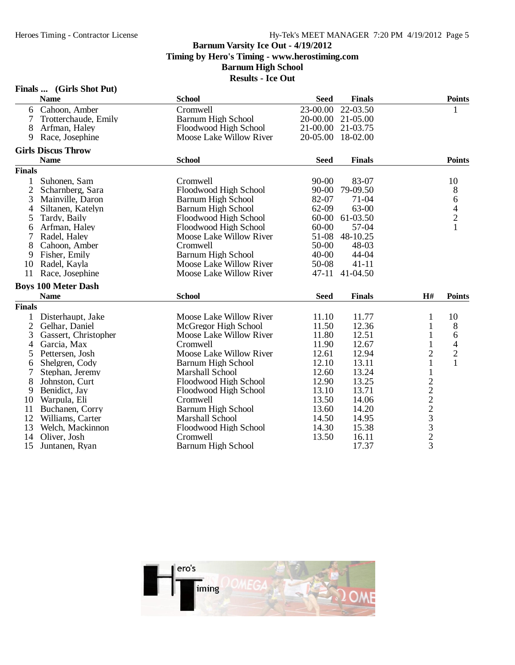|                | Finals  (Girls Shot Put)   |                           |             |               |                   |                |
|----------------|----------------------------|---------------------------|-------------|---------------|-------------------|----------------|
|                | <b>Name</b>                | <b>School</b>             | <b>Seed</b> | <b>Finals</b> |                   | <b>Points</b>  |
| 6              | Cahoon, Amber              | Cromwell                  | 23-00.00    | 22-03.50      |                   | 1              |
| 7              | Trotterchaude, Emily       | <b>Barnum High School</b> | 20-00.00    | 21-05.00      |                   |                |
| 8              | Arfman, Haley              | Floodwood High School     | 21-00.00    | 21-03.75      |                   |                |
| 9              | Race, Josephine            | Moose Lake Willow River   | 20-05.00    | 18-02.00      |                   |                |
|                | <b>Girls Discus Throw</b>  |                           |             |               |                   |                |
|                | <b>Name</b>                | <b>School</b>             | <b>Seed</b> | <b>Finals</b> |                   | <b>Points</b>  |
| <b>Finals</b>  |                            |                           |             |               |                   |                |
| 1              | Suhonen, Sam               | Cromwell                  | $90 - 00$   | 83-07         |                   | 10             |
| $\overline{2}$ | Scharnberg, Sara           | Floodwood High School     | $90 - 00$   | 79-09.50      |                   | $8\,$          |
| 3              | Mainville, Daron           | <b>Barnum High School</b> | 82-07       | $71 - 04$     |                   | $\sqrt{6}$     |
| 4              | Siltanen, Katelyn          | Barnum High School        | 62-09       | 63-00         |                   |                |
| 5              | Tardy, Baily               | Floodwood High School     | $60 - 00$   | 61-03.50      |                   | $\frac{4}{2}$  |
| 6              | Arfman, Haley              | Floodwood High School     | 60-00       | 57-04         |                   | 1              |
| 7              | Radel, Haley               | Moose Lake Willow River   | 51-08       | 48-10.25      |                   |                |
| 8              | Cahoon, Amber              | Cromwell                  | 50-00       | 48-03         |                   |                |
| 9              | Fisher, Emily              | <b>Barnum High School</b> | $40 - 00$   | 44-04         |                   |                |
| 10             | Radel, Kayla               | Moose Lake Willow River   | 50-08       | $41 - 11$     |                   |                |
| 11             | Race, Josephine            | Moose Lake Willow River   | $47 - 11$   | 41-04.50      |                   |                |
|                | <b>Boys 100 Meter Dash</b> |                           |             |               |                   |                |
|                | <b>Name</b>                | <b>School</b>             | <b>Seed</b> | <b>Finals</b> | H#                | <b>Points</b>  |
| <b>Finals</b>  |                            |                           |             |               |                   |                |
| 1              | Disterhaupt, Jake          | Moose Lake Willow River   | 11.10       | 11.77         | 1                 | 10             |
| 2              | Gelhar, Daniel             | McGregor High School      | 11.50       | 12.36         | 1                 | $8\,$          |
| 3              | Gassert, Christopher       | Moose Lake Willow River   | 11.80       | 12.51         | 1                 | 6              |
| 4              | Garcia, Max                | Cromwell                  | 11.90       | 12.67         | $\mathbf{1}$      | $\overline{4}$ |
| 5              | Pettersen, Josh            | Moose Lake Willow River   | 12.61       | 12.94         | 2                 | $\overline{c}$ |
| 6              | Shelgren, Cody             | Barnum High School        | 12.10       | 13.11         | $\mathbf{1}$      | $\mathbf{1}$   |
| 7              | Stephan, Jeremy            | <b>Marshall School</b>    | 12.60       | 13.24         | $\mathbf 1$       |                |
| 8              | Johnston, Curt             | Floodwood High School     | 12.90       | 13.25         |                   |                |
| 9              | Benidict, Jay              | Floodwood High School     | 13.10       | 13.71         |                   |                |
| 10             | Warpula, Eli               | Cromwell                  | 13.50       | 14.06         |                   |                |
| 11             | Buchanen, Corry            | <b>Barnum High School</b> | 13.60       | 14.20         |                   |                |
| 12             | Williams, Carter           | Marshall School           | 14.50       | 14.95         |                   |                |
| 13             | Welch, Mackinnon           | Floodwood High School     | 14.30       | 15.38         |                   |                |
| 14             | Oliver, Josh               | Cromwell                  | 13.50       | 16.11         | $22223$<br>$3323$ |                |
| 15             | Juntanen, Ryan             | <b>Barnum High School</b> |             | 17.37         |                   |                |

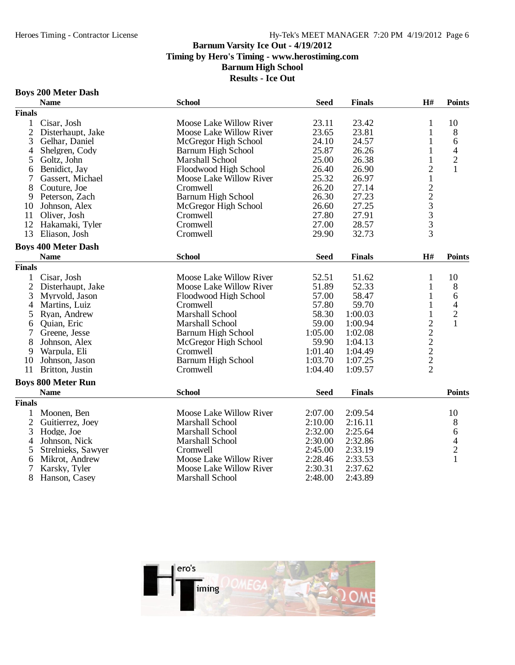# Hy-Tek's MEET MANAGER 7:20 PM 4/19/2012 Page 6

#### **Barnum Varsity Ice Out - 4/19/2012**

**Timing by Hero's Timing - www.herostiming.com**

**Barnum High School**

**Results - Ice Out**

#### **Boys 200 Meter Dash**

|                | <b>Name</b>                | <b>School</b>             | <b>Seed</b> | <b>Finals</b> | H#                                        | <b>Points</b>  |
|----------------|----------------------------|---------------------------|-------------|---------------|-------------------------------------------|----------------|
| <b>Finals</b>  |                            |                           |             |               |                                           |                |
| 1              | Cisar, Josh                | Moose Lake Willow River   | 23.11       | 23.42         | 1                                         | 10             |
| $\mathfrak{2}$ | Disterhaupt, Jake          | Moose Lake Willow River   | 23.65       | 23.81         | 1                                         | 8              |
| 3              | Gelhar, Daniel             | McGregor High School      | 24.10       | 24.57         | 1                                         | 6              |
| 4              | Shelgren, Cody             | <b>Barnum High School</b> | 25.87       | 26.26         | $\mathbf{1}$                              | $\overline{4}$ |
| 5              | Goltz, John                | Marshall School           | 25.00       | 26.38         | $\mathbf{1}$                              | $\overline{c}$ |
| 6              | Benidict, Jay              | Floodwood High School     | 26.40       | 26.90         | $\overline{c}$                            | $\mathbf{1}$   |
| 7              | Gassert, Michael           | Moose Lake Willow River   | 25.32       | 26.97         |                                           |                |
| 8              | Couture, Joe               | Cromwell                  | 26.20       | 27.14         | $\frac{1}{2}$ $\frac{2}{3}$ $\frac{3}{3}$ |                |
| 9              | Peterson, Zach             | <b>Barnum High School</b> | 26.30       | 27.23         |                                           |                |
| 10             | Johnson, Alex              | McGregor High School      | 26.60       | 27.25         |                                           |                |
| 11             | Oliver, Josh               | Cromwell                  | 27.80       | 27.91         |                                           |                |
| 12             | Hakamaki, Tyler            | Cromwell                  | 27.00       | 28.57         |                                           |                |
| 13             | Eliason, Josh              | Cromwell                  | 29.90       | 32.73         | $\overline{3}$                            |                |
|                | <b>Boys 400 Meter Dash</b> |                           |             |               |                                           |                |
|                | <b>Name</b>                | <b>School</b>             | <b>Seed</b> | <b>Finals</b> | H#                                        | <b>Points</b>  |
| <b>Finals</b>  |                            |                           |             |               |                                           |                |
| 1              | Cisar, Josh                | Moose Lake Willow River   | 52.51       | 51.62         | 1                                         | 10             |
| $\overline{2}$ | Disterhaupt, Jake          | Moose Lake Willow River   | 51.89       | 52.33         | 1                                         | 8              |
| 3              | Myrvold, Jason             | Floodwood High School     | 57.00       | 58.47         | 1                                         | 6              |
| 4              | Martins, Luiz              | Cromwell                  | 57.80       | 59.70         | $\mathbf{1}$                              | 4              |
| 5              | Ryan, Andrew               | Marshall School           | 58.30       | 1:00.03       | $\mathbf{1}$                              | $\overline{c}$ |
| 6              | Quian, Eric                | Marshall School           | 59.00       | 1:00.94       |                                           | $\mathbf{1}$   |
| 7              | Greene, Jesse              | Barnum High School        | 1:05.00     | 1:02.08       |                                           |                |
| 8              | Johnson, Alex              | McGregor High School      | 59.90       | 1:04.13       |                                           |                |
| 9              | Warpula, Eli               | Cromwell                  | 1:01.40     | 1:04.49       |                                           |                |
| 10             | Johnson, Jason             | <b>Barnum High School</b> | 1:03.70     | 1:07.25       |                                           |                |
| 11             | Britton, Justin            | Cromwell                  | 1:04.40     | 1:09.57       | $22222$<br>$222$                          |                |
|                |                            |                           |             |               |                                           |                |
|                | <b>Boys 800 Meter Run</b>  |                           |             |               |                                           |                |
|                | <b>Name</b>                | <b>School</b>             | <b>Seed</b> | <b>Finals</b> |                                           | <b>Points</b>  |
| <b>Finals</b>  |                            |                           |             |               |                                           |                |
|                | Moonen, Ben                | Moose Lake Willow River   | 2:07.00     | 2:09.54       |                                           | 10             |
| $\overline{2}$ | Guitierrez, Joey           | Marshall School           | 2:10.00     | 2:16.11       |                                           | 8              |
| 3              | Hodge, Joe                 | Marshall School           | 2:32.00     | 2:25.64       |                                           | 6              |
| 4              | Johnson, Nick              | Marshall School           | 2:30.00     | 2:32.86       |                                           | $\frac{4}{2}$  |
| 5              | Strelnieks, Sawyer         | Cromwell                  | 2:45.00     | 2:33.19       |                                           |                |
| 6              | Mikrot, Andrew             | Moose Lake Willow River   | 2:28.46     | 2:33.53       |                                           | $\overline{1}$ |
| 7              | Karsky, Tyler              | Moose Lake Willow River   | 2:30.31     | 2:37.62       |                                           |                |
| 8              | Hanson, Casey              | Marshall School           | 2:48.00     | 2:43.89       |                                           |                |

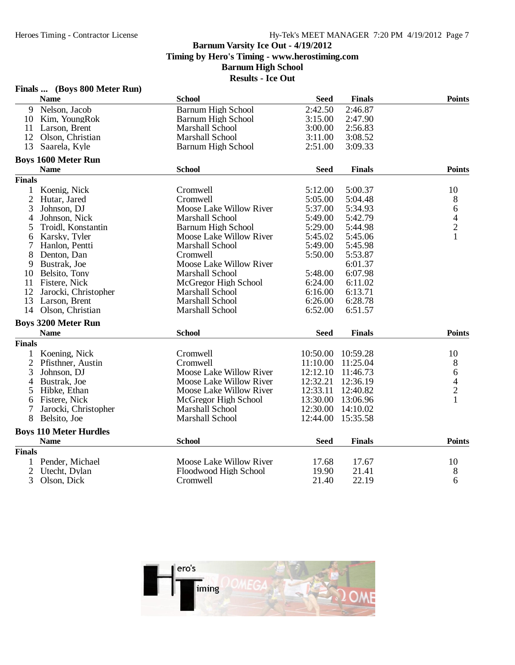|                | Finals  (Boys 800 Meter Run)  |                           |             |               |                                            |
|----------------|-------------------------------|---------------------------|-------------|---------------|--------------------------------------------|
|                | <b>Name</b>                   | <b>School</b>             | <b>Seed</b> | <b>Finals</b> | <b>Points</b>                              |
| 9              | Nelson, Jacob                 | <b>Barnum High School</b> | 2:42.50     | 2:46.87       |                                            |
| 10             | Kim, YoungRok                 | <b>Barnum High School</b> | 3:15.00     | 2:47.90       |                                            |
| 11             | Larson, Brent                 | Marshall School           | 3:00.00     | 2:56.83       |                                            |
| 12             | Olson, Christian              | Marshall School           | 3:11.00     | 3:08.52       |                                            |
| 13             | Saarela, Kyle                 | <b>Barnum High School</b> | 2:51.00     | 3:09.33       |                                            |
|                | <b>Boys 1600 Meter Run</b>    |                           |             |               |                                            |
|                | <b>Name</b>                   | <b>School</b>             | <b>Seed</b> | <b>Finals</b> | <b>Points</b>                              |
| <b>Finals</b>  |                               |                           |             |               |                                            |
| $\mathbf{1}$   | Koenig, Nick                  | Cromwell                  | 5:12.00     | 5:00.37       | 10                                         |
| $\overline{c}$ | Hutar, Jared                  | Cromwell                  | 5:05.00     | 5:04.48       | 8                                          |
| 3              | Johnson, DJ                   | Moose Lake Willow River   | 5:37.00     | 5:34.93       | 6                                          |
| 4              | Johnson, Nick                 | <b>Marshall School</b>    | 5:49.00     | 5:42.79       |                                            |
| 5              | Troidl, Konstantin            | <b>Barnum High School</b> | 5:29.00     | 5:44.98       | $\begin{array}{c} 4 \\ 2 \\ 1 \end{array}$ |
| 6              | Karsky, Tyler                 | Moose Lake Willow River   | 5:45.02     | 5:45.06       |                                            |
| 7              | Hanlon, Pentti                | Marshall School           | 5:49.00     | 5:45.98       |                                            |
| 8              | Denton, Dan                   | Cromwell                  | 5:50.00     | 5:53.87       |                                            |
| 9              | Bustrak, Joe                  | Moose Lake Willow River   |             | 6:01.37       |                                            |
| 10             | Belsito, Tony                 | Marshall School           | 5:48.00     | 6:07.98       |                                            |
| 11             | Fistere, Nick                 | McGregor High School      | 6:24.00     | 6:11.02       |                                            |
| 12             | Jarocki, Christopher          | Marshall School           | 6:16.00     | 6:13.71       |                                            |
| 13             | Larson, Brent                 | Marshall School           | 6:26.00     | 6:28.78       |                                            |
| 14             | Olson, Christian              | Marshall School           | 6:52.00     | 6:51.57       |                                            |
|                | <b>Boys 3200 Meter Run</b>    |                           |             |               |                                            |
|                | <b>Name</b>                   | <b>School</b>             | <b>Seed</b> | <b>Finals</b> | <b>Points</b>                              |
| <b>Finals</b>  |                               |                           |             |               |                                            |
| $\mathbf{1}$   | Koening, Nick                 | Cromwell                  | 10:50.00    | 10:59.28      | 10                                         |
| $\overline{2}$ | Pfisthner, Austin             | Cromwell                  | 11:10.00    | 11:25.04      | 8                                          |
| 3              | Johnson, DJ                   | Moose Lake Willow River   | 12:12.10    | 11:46.73      | 6                                          |
| 4              | Bustrak, Joe                  | Moose Lake Willow River   | 12:32.21    | 12:36.19      |                                            |
| 5              | Hibke, Ethan                  | Moose Lake Willow River   | 12:33.11    | 12:40.82      | $\frac{4}{2}$                              |
| 6              | Fistere, Nick                 | McGregor High School      | 13:30.00    | 13:06.96      | $\mathbf{1}$                               |
| 7              | Jarocki, Christopher          | Marshall School           | 12:30.00    | 14:10.02      |                                            |
| 8              | Belsito, Joe                  | Marshall School           | 12:44.00    | 15:35.58      |                                            |
|                | <b>Boys 110 Meter Hurdles</b> |                           |             |               |                                            |
|                | <b>Name</b>                   | <b>School</b>             | <b>Seed</b> | <b>Finals</b> | <b>Points</b>                              |
| <b>Finals</b>  |                               |                           |             |               |                                            |
| $\mathbf{1}$   | Pender, Michael               | Moose Lake Willow River   | 17.68       | 17.67         | 10                                         |
| $\overline{2}$ | Utecht, Dylan                 | Floodwood High School     | 19.90       | 21.41         | 8                                          |
| 3              | Olson, Dick                   | Cromwell                  | 21.40       | 22.19         | 6                                          |

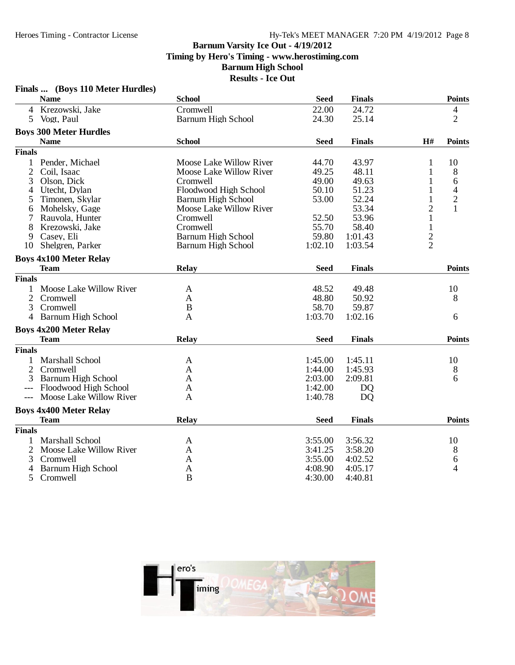| <b>School</b><br><b>Points</b><br><b>Name</b><br><b>Seed</b><br><b>Finals</b><br>4 Krezowski, Jake<br>Cromwell<br>22.00<br>24.72<br>$\overline{\mathcal{L}}$<br>$\overline{2}$<br><b>Barnum High School</b><br>Vogt, Paul<br>24.30<br>25.14<br>5<br><b>Boys 300 Meter Hurdles</b><br><b>School</b><br><b>Seed</b><br><b>Finals</b><br>H#<br><b>Points</b><br><b>Name</b><br><b>Finals</b><br><b>Moose Lake Willow River</b><br>44.70<br>$\mathbf{1}$<br>Pender, Michael<br>43.97<br>10<br>1<br>$\mathfrak{2}$<br>Moose Lake Willow River<br>49.25<br>8<br>Coil, Isaac<br>48.11<br>1<br>6<br>Olson, Dick<br>49.00<br>1<br>3<br>Cromwell<br>49.63<br>1<br>$\overline{4}$<br>Utecht, Dylan<br>Floodwood High School<br>50.10<br>51.23<br>4<br>$\overline{c}$<br>53.00<br>52.24<br>1<br>Timonen, Skylar<br>Barnum High School<br>5<br>$\overline{2}$<br>$\mathbf{1}$<br>Moose Lake Willow River<br>53.34<br>Mohelsky, Gage<br>6<br>52.50<br>$\mathbf{1}$<br>53.96<br>7<br>Rauvola, Hunter<br>Cromwell<br>$\mathbf{1}$<br>8<br>55.70<br>58.40<br>Krezowski, Jake<br>Cromwell<br>$\overline{c}$<br>Casey, Eli<br><b>Barnum High School</b><br>59.80<br>1:01.43<br>9<br>$\overline{2}$<br>Shelgren, Parker<br><b>Barnum High School</b><br>1:03.54<br>10<br>1:02.10<br><b>Boys 4x100 Meter Relay</b><br><b>Relay</b><br><b>Team</b><br><b>Seed</b><br><b>Finals</b><br><b>Points</b><br><b>Finals</b><br>Moose Lake Willow River<br>48.52<br>10<br>49.48<br>A<br>48.80<br>$\overline{2}$<br>Cromwell<br>50.92<br>8<br>A<br>58.70<br>3<br>Cromwell<br>B<br>59.87<br>1:03.70<br>4 Barnum High School<br>1:02.16<br>A<br>6<br><b>Boys 4x200 Meter Relay</b><br><b>Relay</b><br><b>Points</b><br><b>Team</b><br><b>Seed</b><br><b>Finals</b><br><b>Finals</b><br><b>Marshall School</b><br>1:45.00<br>1:45.11<br>10<br>$\mathbf{1}$<br>A<br>$\mathfrak{2}$<br>Cromwell<br>1:45.93<br>1:44.00<br>8<br>A<br><b>Barnum High School</b><br>3<br>2:03.00<br>2:09.81<br>6<br>A<br>Floodwood High School<br>1:42.00<br><b>DQ</b><br>A<br>Moose Lake Willow River<br>1:40.78<br>D <sub>O</sub><br>A<br>$---$<br><b>Boys 4x400 Meter Relay</b><br><b>Points</b><br><b>Team</b><br><b>Relay</b><br><b>Seed</b><br><b>Finals</b><br><b>Finals</b><br><b>Marshall School</b><br>3:55.00<br>3:56.32<br>10<br>1<br>A<br>3:58.20<br>$\overline{2}$<br>Moose Lake Willow River<br>3:41.25<br>8<br>A<br>Cromwell<br>3:55.00<br>4:02.52<br>3<br>6<br>A<br><b>Barnum High School</b><br>4:08.90<br>4<br>4:05.17<br>4<br>A<br>$\bf{B}$<br>5<br>4:30.00<br>4:40.81<br>Cromwell | Finals  (Boys 110 Meter Hurdles) |  |  |  |
|------------------------------------------------------------------------------------------------------------------------------------------------------------------------------------------------------------------------------------------------------------------------------------------------------------------------------------------------------------------------------------------------------------------------------------------------------------------------------------------------------------------------------------------------------------------------------------------------------------------------------------------------------------------------------------------------------------------------------------------------------------------------------------------------------------------------------------------------------------------------------------------------------------------------------------------------------------------------------------------------------------------------------------------------------------------------------------------------------------------------------------------------------------------------------------------------------------------------------------------------------------------------------------------------------------------------------------------------------------------------------------------------------------------------------------------------------------------------------------------------------------------------------------------------------------------------------------------------------------------------------------------------------------------------------------------------------------------------------------------------------------------------------------------------------------------------------------------------------------------------------------------------------------------------------------------------------------------------------------------------------------------------------------------------------------------------------------------------------------------------------------------------------------------------------------------------------------------------------------------------------------------------------------------------------------------------------------------------------------------------------------------------------------------------------------------------------------------------------------------------------------------------------------------------|----------------------------------|--|--|--|
|                                                                                                                                                                                                                                                                                                                                                                                                                                                                                                                                                                                                                                                                                                                                                                                                                                                                                                                                                                                                                                                                                                                                                                                                                                                                                                                                                                                                                                                                                                                                                                                                                                                                                                                                                                                                                                                                                                                                                                                                                                                                                                                                                                                                                                                                                                                                                                                                                                                                                                                                                |                                  |  |  |  |
|                                                                                                                                                                                                                                                                                                                                                                                                                                                                                                                                                                                                                                                                                                                                                                                                                                                                                                                                                                                                                                                                                                                                                                                                                                                                                                                                                                                                                                                                                                                                                                                                                                                                                                                                                                                                                                                                                                                                                                                                                                                                                                                                                                                                                                                                                                                                                                                                                                                                                                                                                |                                  |  |  |  |
|                                                                                                                                                                                                                                                                                                                                                                                                                                                                                                                                                                                                                                                                                                                                                                                                                                                                                                                                                                                                                                                                                                                                                                                                                                                                                                                                                                                                                                                                                                                                                                                                                                                                                                                                                                                                                                                                                                                                                                                                                                                                                                                                                                                                                                                                                                                                                                                                                                                                                                                                                |                                  |  |  |  |
|                                                                                                                                                                                                                                                                                                                                                                                                                                                                                                                                                                                                                                                                                                                                                                                                                                                                                                                                                                                                                                                                                                                                                                                                                                                                                                                                                                                                                                                                                                                                                                                                                                                                                                                                                                                                                                                                                                                                                                                                                                                                                                                                                                                                                                                                                                                                                                                                                                                                                                                                                |                                  |  |  |  |
|                                                                                                                                                                                                                                                                                                                                                                                                                                                                                                                                                                                                                                                                                                                                                                                                                                                                                                                                                                                                                                                                                                                                                                                                                                                                                                                                                                                                                                                                                                                                                                                                                                                                                                                                                                                                                                                                                                                                                                                                                                                                                                                                                                                                                                                                                                                                                                                                                                                                                                                                                |                                  |  |  |  |
|                                                                                                                                                                                                                                                                                                                                                                                                                                                                                                                                                                                                                                                                                                                                                                                                                                                                                                                                                                                                                                                                                                                                                                                                                                                                                                                                                                                                                                                                                                                                                                                                                                                                                                                                                                                                                                                                                                                                                                                                                                                                                                                                                                                                                                                                                                                                                                                                                                                                                                                                                |                                  |  |  |  |
|                                                                                                                                                                                                                                                                                                                                                                                                                                                                                                                                                                                                                                                                                                                                                                                                                                                                                                                                                                                                                                                                                                                                                                                                                                                                                                                                                                                                                                                                                                                                                                                                                                                                                                                                                                                                                                                                                                                                                                                                                                                                                                                                                                                                                                                                                                                                                                                                                                                                                                                                                |                                  |  |  |  |
|                                                                                                                                                                                                                                                                                                                                                                                                                                                                                                                                                                                                                                                                                                                                                                                                                                                                                                                                                                                                                                                                                                                                                                                                                                                                                                                                                                                                                                                                                                                                                                                                                                                                                                                                                                                                                                                                                                                                                                                                                                                                                                                                                                                                                                                                                                                                                                                                                                                                                                                                                |                                  |  |  |  |
|                                                                                                                                                                                                                                                                                                                                                                                                                                                                                                                                                                                                                                                                                                                                                                                                                                                                                                                                                                                                                                                                                                                                                                                                                                                                                                                                                                                                                                                                                                                                                                                                                                                                                                                                                                                                                                                                                                                                                                                                                                                                                                                                                                                                                                                                                                                                                                                                                                                                                                                                                |                                  |  |  |  |
|                                                                                                                                                                                                                                                                                                                                                                                                                                                                                                                                                                                                                                                                                                                                                                                                                                                                                                                                                                                                                                                                                                                                                                                                                                                                                                                                                                                                                                                                                                                                                                                                                                                                                                                                                                                                                                                                                                                                                                                                                                                                                                                                                                                                                                                                                                                                                                                                                                                                                                                                                |                                  |  |  |  |
|                                                                                                                                                                                                                                                                                                                                                                                                                                                                                                                                                                                                                                                                                                                                                                                                                                                                                                                                                                                                                                                                                                                                                                                                                                                                                                                                                                                                                                                                                                                                                                                                                                                                                                                                                                                                                                                                                                                                                                                                                                                                                                                                                                                                                                                                                                                                                                                                                                                                                                                                                |                                  |  |  |  |
|                                                                                                                                                                                                                                                                                                                                                                                                                                                                                                                                                                                                                                                                                                                                                                                                                                                                                                                                                                                                                                                                                                                                                                                                                                                                                                                                                                                                                                                                                                                                                                                                                                                                                                                                                                                                                                                                                                                                                                                                                                                                                                                                                                                                                                                                                                                                                                                                                                                                                                                                                |                                  |  |  |  |
|                                                                                                                                                                                                                                                                                                                                                                                                                                                                                                                                                                                                                                                                                                                                                                                                                                                                                                                                                                                                                                                                                                                                                                                                                                                                                                                                                                                                                                                                                                                                                                                                                                                                                                                                                                                                                                                                                                                                                                                                                                                                                                                                                                                                                                                                                                                                                                                                                                                                                                                                                |                                  |  |  |  |
|                                                                                                                                                                                                                                                                                                                                                                                                                                                                                                                                                                                                                                                                                                                                                                                                                                                                                                                                                                                                                                                                                                                                                                                                                                                                                                                                                                                                                                                                                                                                                                                                                                                                                                                                                                                                                                                                                                                                                                                                                                                                                                                                                                                                                                                                                                                                                                                                                                                                                                                                                |                                  |  |  |  |
|                                                                                                                                                                                                                                                                                                                                                                                                                                                                                                                                                                                                                                                                                                                                                                                                                                                                                                                                                                                                                                                                                                                                                                                                                                                                                                                                                                                                                                                                                                                                                                                                                                                                                                                                                                                                                                                                                                                                                                                                                                                                                                                                                                                                                                                                                                                                                                                                                                                                                                                                                |                                  |  |  |  |
|                                                                                                                                                                                                                                                                                                                                                                                                                                                                                                                                                                                                                                                                                                                                                                                                                                                                                                                                                                                                                                                                                                                                                                                                                                                                                                                                                                                                                                                                                                                                                                                                                                                                                                                                                                                                                                                                                                                                                                                                                                                                                                                                                                                                                                                                                                                                                                                                                                                                                                                                                |                                  |  |  |  |
|                                                                                                                                                                                                                                                                                                                                                                                                                                                                                                                                                                                                                                                                                                                                                                                                                                                                                                                                                                                                                                                                                                                                                                                                                                                                                                                                                                                                                                                                                                                                                                                                                                                                                                                                                                                                                                                                                                                                                                                                                                                                                                                                                                                                                                                                                                                                                                                                                                                                                                                                                |                                  |  |  |  |
|                                                                                                                                                                                                                                                                                                                                                                                                                                                                                                                                                                                                                                                                                                                                                                                                                                                                                                                                                                                                                                                                                                                                                                                                                                                                                                                                                                                                                                                                                                                                                                                                                                                                                                                                                                                                                                                                                                                                                                                                                                                                                                                                                                                                                                                                                                                                                                                                                                                                                                                                                |                                  |  |  |  |
|                                                                                                                                                                                                                                                                                                                                                                                                                                                                                                                                                                                                                                                                                                                                                                                                                                                                                                                                                                                                                                                                                                                                                                                                                                                                                                                                                                                                                                                                                                                                                                                                                                                                                                                                                                                                                                                                                                                                                                                                                                                                                                                                                                                                                                                                                                                                                                                                                                                                                                                                                |                                  |  |  |  |
|                                                                                                                                                                                                                                                                                                                                                                                                                                                                                                                                                                                                                                                                                                                                                                                                                                                                                                                                                                                                                                                                                                                                                                                                                                                                                                                                                                                                                                                                                                                                                                                                                                                                                                                                                                                                                                                                                                                                                                                                                                                                                                                                                                                                                                                                                                                                                                                                                                                                                                                                                |                                  |  |  |  |
|                                                                                                                                                                                                                                                                                                                                                                                                                                                                                                                                                                                                                                                                                                                                                                                                                                                                                                                                                                                                                                                                                                                                                                                                                                                                                                                                                                                                                                                                                                                                                                                                                                                                                                                                                                                                                                                                                                                                                                                                                                                                                                                                                                                                                                                                                                                                                                                                                                                                                                                                                |                                  |  |  |  |
|                                                                                                                                                                                                                                                                                                                                                                                                                                                                                                                                                                                                                                                                                                                                                                                                                                                                                                                                                                                                                                                                                                                                                                                                                                                                                                                                                                                                                                                                                                                                                                                                                                                                                                                                                                                                                                                                                                                                                                                                                                                                                                                                                                                                                                                                                                                                                                                                                                                                                                                                                |                                  |  |  |  |
|                                                                                                                                                                                                                                                                                                                                                                                                                                                                                                                                                                                                                                                                                                                                                                                                                                                                                                                                                                                                                                                                                                                                                                                                                                                                                                                                                                                                                                                                                                                                                                                                                                                                                                                                                                                                                                                                                                                                                                                                                                                                                                                                                                                                                                                                                                                                                                                                                                                                                                                                                |                                  |  |  |  |
|                                                                                                                                                                                                                                                                                                                                                                                                                                                                                                                                                                                                                                                                                                                                                                                                                                                                                                                                                                                                                                                                                                                                                                                                                                                                                                                                                                                                                                                                                                                                                                                                                                                                                                                                                                                                                                                                                                                                                                                                                                                                                                                                                                                                                                                                                                                                                                                                                                                                                                                                                |                                  |  |  |  |
|                                                                                                                                                                                                                                                                                                                                                                                                                                                                                                                                                                                                                                                                                                                                                                                                                                                                                                                                                                                                                                                                                                                                                                                                                                                                                                                                                                                                                                                                                                                                                                                                                                                                                                                                                                                                                                                                                                                                                                                                                                                                                                                                                                                                                                                                                                                                                                                                                                                                                                                                                |                                  |  |  |  |
|                                                                                                                                                                                                                                                                                                                                                                                                                                                                                                                                                                                                                                                                                                                                                                                                                                                                                                                                                                                                                                                                                                                                                                                                                                                                                                                                                                                                                                                                                                                                                                                                                                                                                                                                                                                                                                                                                                                                                                                                                                                                                                                                                                                                                                                                                                                                                                                                                                                                                                                                                |                                  |  |  |  |
|                                                                                                                                                                                                                                                                                                                                                                                                                                                                                                                                                                                                                                                                                                                                                                                                                                                                                                                                                                                                                                                                                                                                                                                                                                                                                                                                                                                                                                                                                                                                                                                                                                                                                                                                                                                                                                                                                                                                                                                                                                                                                                                                                                                                                                                                                                                                                                                                                                                                                                                                                |                                  |  |  |  |
|                                                                                                                                                                                                                                                                                                                                                                                                                                                                                                                                                                                                                                                                                                                                                                                                                                                                                                                                                                                                                                                                                                                                                                                                                                                                                                                                                                                                                                                                                                                                                                                                                                                                                                                                                                                                                                                                                                                                                                                                                                                                                                                                                                                                                                                                                                                                                                                                                                                                                                                                                |                                  |  |  |  |
|                                                                                                                                                                                                                                                                                                                                                                                                                                                                                                                                                                                                                                                                                                                                                                                                                                                                                                                                                                                                                                                                                                                                                                                                                                                                                                                                                                                                                                                                                                                                                                                                                                                                                                                                                                                                                                                                                                                                                                                                                                                                                                                                                                                                                                                                                                                                                                                                                                                                                                                                                |                                  |  |  |  |
|                                                                                                                                                                                                                                                                                                                                                                                                                                                                                                                                                                                                                                                                                                                                                                                                                                                                                                                                                                                                                                                                                                                                                                                                                                                                                                                                                                                                                                                                                                                                                                                                                                                                                                                                                                                                                                                                                                                                                                                                                                                                                                                                                                                                                                                                                                                                                                                                                                                                                                                                                |                                  |  |  |  |
|                                                                                                                                                                                                                                                                                                                                                                                                                                                                                                                                                                                                                                                                                                                                                                                                                                                                                                                                                                                                                                                                                                                                                                                                                                                                                                                                                                                                                                                                                                                                                                                                                                                                                                                                                                                                                                                                                                                                                                                                                                                                                                                                                                                                                                                                                                                                                                                                                                                                                                                                                |                                  |  |  |  |
|                                                                                                                                                                                                                                                                                                                                                                                                                                                                                                                                                                                                                                                                                                                                                                                                                                                                                                                                                                                                                                                                                                                                                                                                                                                                                                                                                                                                                                                                                                                                                                                                                                                                                                                                                                                                                                                                                                                                                                                                                                                                                                                                                                                                                                                                                                                                                                                                                                                                                                                                                |                                  |  |  |  |
|                                                                                                                                                                                                                                                                                                                                                                                                                                                                                                                                                                                                                                                                                                                                                                                                                                                                                                                                                                                                                                                                                                                                                                                                                                                                                                                                                                                                                                                                                                                                                                                                                                                                                                                                                                                                                                                                                                                                                                                                                                                                                                                                                                                                                                                                                                                                                                                                                                                                                                                                                |                                  |  |  |  |
|                                                                                                                                                                                                                                                                                                                                                                                                                                                                                                                                                                                                                                                                                                                                                                                                                                                                                                                                                                                                                                                                                                                                                                                                                                                                                                                                                                                                                                                                                                                                                                                                                                                                                                                                                                                                                                                                                                                                                                                                                                                                                                                                                                                                                                                                                                                                                                                                                                                                                                                                                |                                  |  |  |  |
|                                                                                                                                                                                                                                                                                                                                                                                                                                                                                                                                                                                                                                                                                                                                                                                                                                                                                                                                                                                                                                                                                                                                                                                                                                                                                                                                                                                                                                                                                                                                                                                                                                                                                                                                                                                                                                                                                                                                                                                                                                                                                                                                                                                                                                                                                                                                                                                                                                                                                                                                                |                                  |  |  |  |
|                                                                                                                                                                                                                                                                                                                                                                                                                                                                                                                                                                                                                                                                                                                                                                                                                                                                                                                                                                                                                                                                                                                                                                                                                                                                                                                                                                                                                                                                                                                                                                                                                                                                                                                                                                                                                                                                                                                                                                                                                                                                                                                                                                                                                                                                                                                                                                                                                                                                                                                                                |                                  |  |  |  |
|                                                                                                                                                                                                                                                                                                                                                                                                                                                                                                                                                                                                                                                                                                                                                                                                                                                                                                                                                                                                                                                                                                                                                                                                                                                                                                                                                                                                                                                                                                                                                                                                                                                                                                                                                                                                                                                                                                                                                                                                                                                                                                                                                                                                                                                                                                                                                                                                                                                                                                                                                |                                  |  |  |  |
|                                                                                                                                                                                                                                                                                                                                                                                                                                                                                                                                                                                                                                                                                                                                                                                                                                                                                                                                                                                                                                                                                                                                                                                                                                                                                                                                                                                                                                                                                                                                                                                                                                                                                                                                                                                                                                                                                                                                                                                                                                                                                                                                                                                                                                                                                                                                                                                                                                                                                                                                                |                                  |  |  |  |
|                                                                                                                                                                                                                                                                                                                                                                                                                                                                                                                                                                                                                                                                                                                                                                                                                                                                                                                                                                                                                                                                                                                                                                                                                                                                                                                                                                                                                                                                                                                                                                                                                                                                                                                                                                                                                                                                                                                                                                                                                                                                                                                                                                                                                                                                                                                                                                                                                                                                                                                                                |                                  |  |  |  |

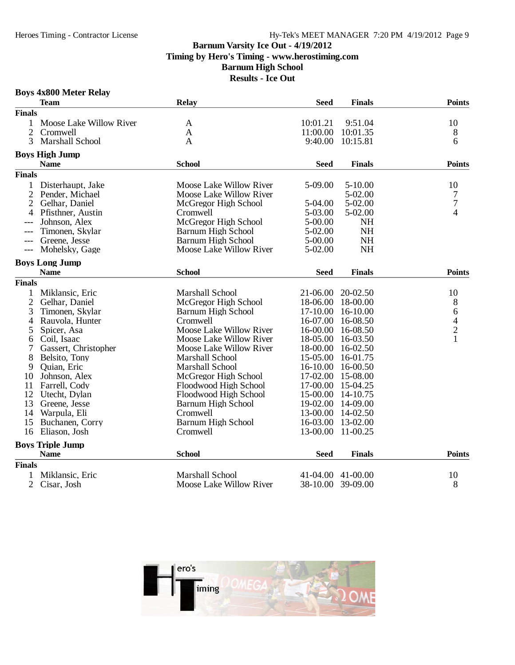### **Boys 4x800 Meter Relay**

|                | <b>Team</b>             | <b>Relay</b>              | <b>Seed</b>  | <b>Finals</b>     | <b>Points</b>                              |
|----------------|-------------------------|---------------------------|--------------|-------------------|--------------------------------------------|
| <b>Finals</b>  |                         |                           |              |                   |                                            |
|                | Moose Lake Willow River | $\mathbf{A}$              | 10:01.21     | 9:51.04           | 10                                         |
| $\overline{2}$ | Cromwell                | A                         | 11:00.00     | 10:01.35          | 8                                          |
| 3              | Marshall School         | $\mathbf{A}$              | 9:40.00      | 10:15.81          | 6                                          |
|                | <b>Boys High Jump</b>   |                           |              |                   |                                            |
|                | <b>Name</b>             | <b>School</b>             | <b>Seed</b>  | <b>Finals</b>     | <b>Points</b>                              |
| <b>Finals</b>  |                         |                           |              |                   |                                            |
| 1              | Disterhaupt, Jake       | Moose Lake Willow River   | 5-09.00      | $5 - 10.00$       | 10                                         |
| $\mathfrak{2}$ | Pender, Michael         | Moose Lake Willow River   |              | 5-02.00           | 7                                          |
| 2              | Gelhar, Daniel          | McGregor High School      | 5-04.00      | 5-02.00           | $\overline{7}$                             |
| 4              | Pfisthner, Austin       | Cromwell                  | 5-03.00      | 5-02.00           | $\overline{\mathcal{A}}$                   |
| $---$          | Johnson, Alex           | McGregor High School      | 5-00.00      | <b>NH</b>         |                                            |
| $---$          | Timonen, Skylar         | Barnum High School        | 5-02.00      | <b>NH</b>         |                                            |
| $---$          | Greene, Jesse           | Barnum High School        | 5-00.00      | <b>NH</b>         |                                            |
| $---$          | Mohelsky, Gage          | Moose Lake Willow River   | 5-02.00      | <b>NH</b>         |                                            |
|                | <b>Boys Long Jump</b>   |                           |              |                   |                                            |
|                | <b>Name</b>             | <b>School</b>             | <b>Seed</b>  | <b>Finals</b>     | <b>Points</b>                              |
| <b>Finals</b>  |                         |                           |              |                   |                                            |
| 1              | Miklansic, Eric         | Marshall School           | 21-06.00     | 20-02.50          | 10                                         |
| $\overline{2}$ | Gelhar, Daniel          | McGregor High School      | 18-06.00     | 18-00.00          | 8                                          |
| 3              | Timonen, Skylar         | Barnum High School        | 17-10.00     | $16-10.00$        | 6                                          |
| 4              | Rauvola, Hunter         | Cromwell                  | 16-07.00     | 16-08.50          |                                            |
| 5              | Spicer, Asa             | Moose Lake Willow River   | 16-00.00     | 16-08.50          | $\begin{array}{c} 4 \\ 2 \\ 1 \end{array}$ |
| 6              | Coil, Isaac             | Moose Lake Willow River   | 18-05.00     | 16-03.50          |                                            |
| 7              | Gassert, Christopher    | Moose Lake Willow River   | 18-00.00     | 16-02.50          |                                            |
| 8              | Belsito, Tony           | Marshall School           | 15-05.00     | 16-01.75          |                                            |
| 9              | Quian, Eric             | Marshall School           | $16 - 10.00$ | 16-00.50          |                                            |
| 10             | Johnson, Alex           | McGregor High School      |              | 17-02.00 15-08.00 |                                            |
| 11             | Farrell, Cody           | Floodwood High School     | 17-00.00     | 15-04.25          |                                            |
| 12             | Utecht, Dylan           | Floodwood High School     | 15-00.00     | 14-10.75          |                                            |
| 13             | Greene, Jesse           | Barnum High School        | 19-02.00     | 14-09.00          |                                            |
| 14             | Warpula, Eli            | Cromwell                  | 13-00.00     | 14-02.50          |                                            |
| 15             | Buchanen, Corry         | <b>Barnum High School</b> |              | 16-03.00 13-02.00 |                                            |
| 16             | Eliason, Josh           | Cromwell                  | 13-00.00     | 11-00.25          |                                            |
|                | <b>Boys Triple Jump</b> |                           |              |                   |                                            |
|                | <b>Name</b>             | <b>School</b>             | <b>Seed</b>  | <b>Finals</b>     | <b>Points</b>                              |
| <b>Finals</b>  |                         |                           |              |                   |                                            |
|                | Miklansic, Eric         | <b>Marshall School</b>    | 41-04.00     | $41 - 00.00$      | 10                                         |
| $\overline{2}$ | Cisar, Josh             | Moose Lake Willow River   | 38-10.00     | 39-09.00          | 8                                          |

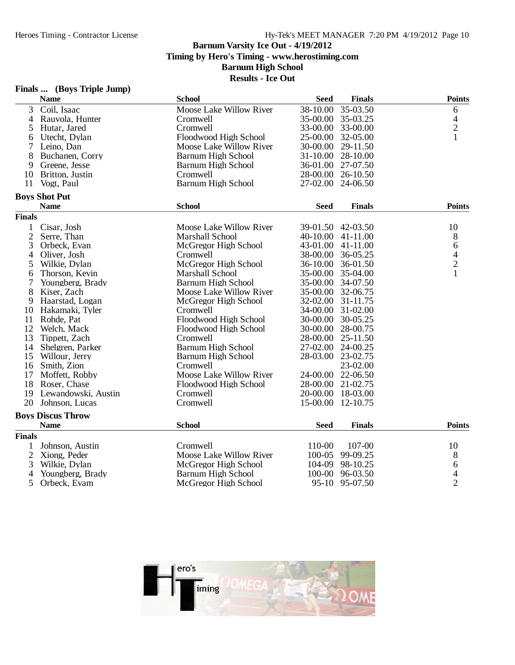**Results - Ice Out**

|                | <b>Name</b>              | <b>School</b>             | <b>Seed</b> | <b>Finals</b>     | <b>Points</b>  |
|----------------|--------------------------|---------------------------|-------------|-------------------|----------------|
| 3              | Coil, Isaac              | Moose Lake Willow River   | 38-10.00    | 35-03.50          | 6              |
| 4              | Rauvola, Hunter          | Cromwell                  | 35-00.00    | 35-03.25          | 4              |
| 5              | Hutar, Jared             | Cromwell                  |             | 33-00.00 33-00.00 | $\overline{2}$ |
| 6              | Utecht, Dylan            | Floodwood High School     |             | 25-00.00 32-05.00 | 1              |
| 7              | Leino, Dan               | Moose Lake Willow River   | 30-00.00    | 29-11.50          |                |
| 8              | Buchanen, Corry          | Barnum High School        |             | 31-10.00 28-10.00 |                |
| 9              | Greene, Jesse            | Barnum High School        |             | 36-01.00 27-07.50 |                |
| 10             | Britton, Justin          | Cromwell                  |             | 28-00.00 26-10.50 |                |
| 11             | Vogt, Paul               | <b>Barnum High School</b> |             | 27-02.00 24-06.50 |                |
|                | <b>Boys Shot Put</b>     |                           |             |                   |                |
|                | <b>Name</b>              | <b>School</b>             | <b>Seed</b> | <b>Finals</b>     | <b>Points</b>  |
| <b>Finals</b>  |                          |                           |             |                   |                |
| $\mathbf{1}$   | Cisar, Josh              | Moose Lake Willow River   |             | 39-01.50 42-03.50 | 10             |
| $\overline{c}$ | Serre, Than              | Marshall School           | 40-10.00    | $41 - 11.00$      | 8              |
| 3              | Orbeck, Evan             | McGregor High School      | 43-01.00    | 41-11.00          | 6              |
| 4              | Oliver, Josh             | Cromwell                  |             | 38-00.00 36-05.25 |                |
| 5              | Wilkie, Dylan            | McGregor High School      |             | 36-10.00 36-01.50 | $\frac{4}{2}$  |
| 6              | Thorson, Kevin           | Marshall School           | 35-00.00    | 35-04.00          | $\mathbf{1}$   |
| 7              | Youngberg, Brady         | Barnum High School        |             | 35-00.00 34-07.50 |                |
| 8              | Kiser, Zach              | Moose Lake Willow River   |             | 35-00.00 32-06.75 |                |
| 9              | Haarstad, Logan          | McGregor High School      |             | 32-02.00 31-11.75 |                |
| 10             | Hakamaki, Tyler          | Cromwell                  | 34-00.00    | $31 - 02.00$      |                |
| 11             | Rohde, Pat               | Floodwood High School     |             | 30-00.00 30-05.25 |                |
| 12             | Welch, Mack              | Floodwood High School     | 30-00.00    | 28-00.75          |                |
| 13             | Tippett, Zach            | Cromwell                  |             | 28-00.00 25-11.50 |                |
| 14             | Shelgren, Parker         | <b>Barnum High School</b> | 27-02.00    | 24-00.25          |                |
| 15             | Willour, Jerry           | Barnum High School        | 28-03.00    | 23-02.75          |                |
| 16             | Smith, Zion              | Cromwell                  |             | 23-02.00          |                |
| 17             | Moffett, Robby           | Moose Lake Willow River   | 24-00.00    | 22-06.50          |                |
| 18             | Roser, Chase             | Floodwood High School     | 28-00.00    | 21-02.75          |                |
| 19             | Lewandowski, Austin      | Cromwell                  |             | 20-00.00 18-03.00 |                |
| 20             | Johnson, Lucas           | Cromwell                  | 15-00.00    | 12-10.75          |                |
|                | <b>Boys Discus Throw</b> |                           |             |                   |                |
|                | <b>Name</b>              | <b>School</b>             | <b>Seed</b> | <b>Finals</b>     | <b>Points</b>  |
| <b>Finals</b>  |                          |                           |             |                   |                |
| $\mathbf{1}$   | Johnson, Austin          | Cromwell                  | 110-00      | 107-00            | 10             |
| $\overline{2}$ | Xiong, Peder             | Moose Lake Willow River   | 100-05      | 99-09.25          | 8              |
| 3              | Wilkie, Dylan            | McGregor High School      | 104-09      | 98-10.25          | 6              |
| 4              | Youngberg, Brady         | Barnum High School        | 100-00      | 96-03.50          | 4              |
| 5              | Orbeck, Evam             | McGregor High School      |             | 95-10 95-07.50    | $\overline{2}$ |



### **Finals ... (Boys Triple Jump)**